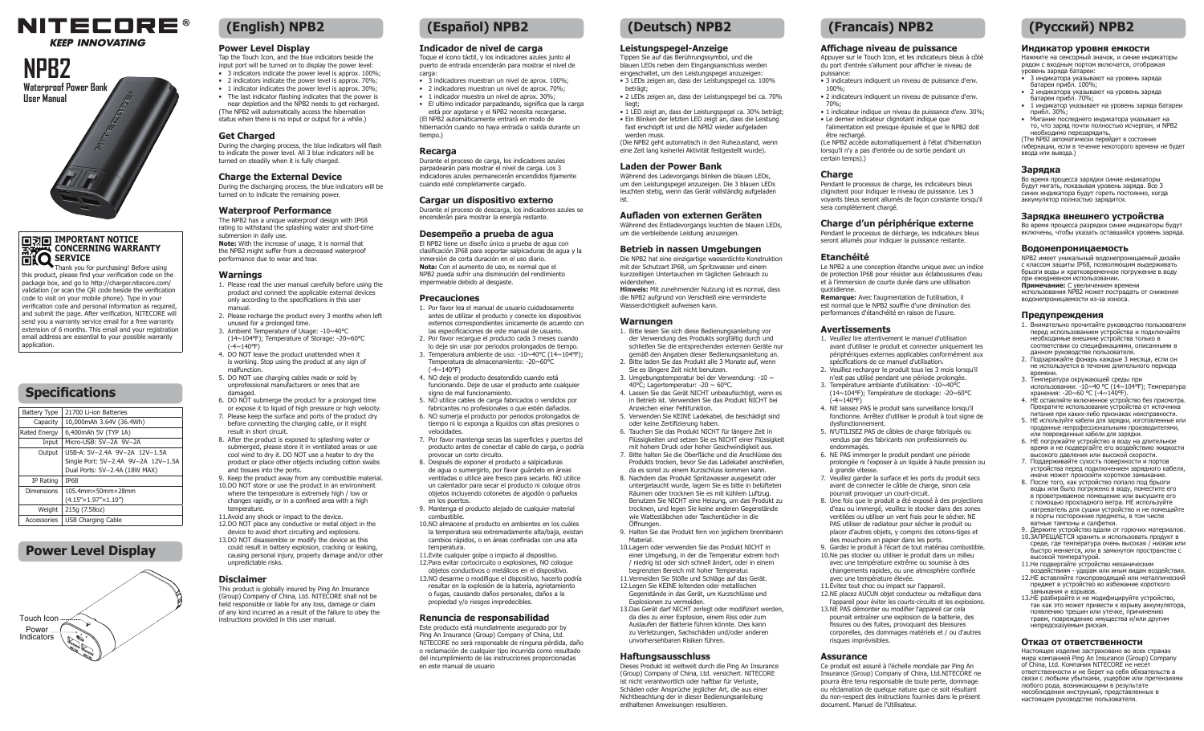# **NITECORE®**

## **KEEP INNOVATING**

# **NPB2 User Manual**

Waterproof Power Bank<br>User Manual<br>*E* 

#### **IMPORTANT NOTICE CONCERNING WARRANTY EXQ** SERVICE Thank you for purchasing! Before using

this product, please find your verification code on the package box, and go to http://charger.nitecore.com/ validation (or scan the QR code beside the verification code to visit on your mobile phone). Type in your verification code and personal information as required, and submit the page. After verification, NITECORE will send you a warranty service email for a free warranty extension of 6 months. This email and your registration email address are essential to your possible warranty application.

# **Specifications**

| Battery Type        | 21700 Li-ion Batteries                 |
|---------------------|----------------------------------------|
| Capacity            | 10,000mAh 3.64V (36.4Wh)               |
| <b>Rated Energy</b> | 6,400mAh 5V (TYP 1A)                   |
| Input               | Micro-USB: 5V-2A 9V-2A                 |
| Output              | USB-A: 5V-2.4A 9V-2A 12V-1.5A          |
|                     | Single Port: 5V-2.4A 9V-2A 12V-1.5A    |
|                     | Dual Ports: 5V-2.4A (18W MAX)          |
| IP Rating           | <b>TP68</b>                            |
| <b>Dimensions</b>   | $105.4$ mm $\times$ 50mm $\times$ 28mm |
|                     | $(4.15'' \times 1.97'' \times 1.10'')$ |
| Weight              | 215q (7.58oz)                          |
| Accessories         | <b>USB Charging Cable</b>              |

## **Power Level Display**



# **(English) NPB2 (Español) NPB2 (Deutsch) NPB2 (Francais) NPB2 (Русский) NPB2**

### **Power Level Display**

Tap the Touch Icon, and the blue indicators beside the input port will be turned on to display the power level: • 3 indicators indicate the nower level is approx. 100%;

- 2 indicators indicate the power level is approx. 70%; • 1 indicator indicates the nower level is approx. 30%; • The last indicator flashing indicates that the power is
- near depletion and the NPB2 needs to get recharged. (The NPB2 will automatically access the hibernation status when there is no input or output for a while.)

#### **Get Charged**

During the charging process, the blue indicators will flash to indicate the power level. All 3 blue indicators will be turned on steadily when it is fully charged.

#### **Charge the External Device**

During the discharging process, the blue indicators will be turned on to indicate the remaining power.

### **Waterproof Performance**

The NPB2 has a unique waterproof design with IP68 rating to withstand the splashing water and short-time submersion in daily use. **Note:** With the increase of usage, it is normal that the NPB2 might suffer from a decreased waterproof performance due to wear and tear.

#### **Warnings**

- 1. Please read the user manual carefully before using the product and connect the applicable external devices only according to the specifications in this user manual.
- 2. Please recharge the product every 3 months when left unused for a prolonged time.
- 3. Ambient Temperature of Usage: -10~40℃ (14~104℉); Temperature of Storage: -20~60℃  $(1.4 \times 140$ °F)
- 4. DO NOT leave the product unattended when it is working. Stop using the product at any sign of malfunction. 5. DO NOT use charging cables made or sold by
- unprofessional manufacturers or ones that are damaged. 6. DO NOT submerge the product for a prolonged time

or expose it to liquid of high pressure or high velocity.

- 7. Please keep the surface and ports of the product dry before connecting the charging cable, or it might result in short circuit.
- 8. After the product is exposed to splashing water or submerged, please store it in ventilated areas or use cool wind to dry it. DO NOT use a heater to dry the product or place other objects including cotton swabs and tissues into the ports.
- 9. Keep the product away from any combustible material. 10.DO NOT store or use the product in an environment
- where the temperature is extremely high / low or changes rapidly, or in a confined area with a high
- temperature. 11.Avoid any shock or impact to the device. 12.DO NOT place any conductive or metal object in the device to avoid short circuiting and explosions. 13.DO NOT disassemble or modify the device as this could result in battery explosion, cracking or leaking, causing personal injury, property damage and/or other unpredictable risks.

#### **Disclaimer**

This product is globally insured by Ping An Insurance (Group) Company of China, Ltd. NITECORE shall not be held responsible or liable for any loss, damage or claim of any kind incurred as a result of the failure to obey the instructions provided in this user manual.

#### **Indicador de nivel de carga**

Toque el ícono táctil, y los indicadores azules junto al puerto de entrada encenderán para mostrar el nivel de carga:

- 3 indicadores muestran un nivel de aprox. 100%;
- 2 indicadores muestran un nivel de aprox. 70%;
- 1 indicador muestra un nivel de aprox. 30%;

• El ultimo indicador parpadeando, significa que la carga está por agotarse y el NPB2 necesita recargarse. (El NPB2 automáticamente entrará en modo de hibernación cuando no haya entrada o salida durante un

# tiempo.)

**Recarga** Durante el proceso de carga, los indicadores azules parpadearán para mostrar el nivel de carga. Los 3 indicadores azules permanecerán encendidos fijamente cuando esté completamente cargado.

#### **Cargar un dispositivo externo**

Durante el proceso de descarga, los indicadores azules se encenderán para mostrar la energía restante.

#### **Desempeño a prueba de agua**

El NPB2 tiene un diseño único a prueba de agua con clasificación IP68 para soportar salpicaduras de agua y la inmersión de corta duración en el uso diario. **Nota:** Con el aumento de uso, es normal que el NPB2 pueda sufrir una disminución del rendimiento impermeable debido al desgaste.

#### **Precauciones**

- 1. Por favor lea el manual de usuario cuidadosamente antes de utilizar el producto y conecte los dispositivos externos correspondientes únicamente de acuerdo con las especificaciones de este manual de usuario.
- 2. Por favor recargue el producto cada 3 meses cuando lo deje sin usar por periodos prolongados de tiempo.  $\frac{12}{3}$ . Temperatura ambiente de uso: -10~40°C (14~104°F);
- Temperatura de almacenamiento: -20~60℃ (-4~140℉)
- 4. NO deje el producto desatendido cuando está funcionando. Deje de usar el producto ante cualquier signo de mal funcionamiento.
- 5. NO utilice cables de carga fabricados o vendidos por fabricantes no profesionales o que estén dañados.
- 6. NO sumerja el producto por periodos prolongados de tiempo ni lo exponga a líquidos con altas presiones o velocidades.
- 7. Por favor mantenga secas las superficies y puertos del producto antes de conectar el cable de carga, o podría .<br>provocar un corto circuito. 8. Después de exponer el producto a salpicaduras
- de agua o sumergirlo, por favor guárdelo en áreas ventiladas o utilice aire fresco para secarlo. NO utilice un calentador para secar el producto ni coloque otros objetos incluyendo cotonetes de algodón o pañuelos en los puertos.
- 9. Mantenga el producto alejado de cualquier material combustible.
- 10.NO almacene el producto en ambientes en los cuáles la temperatura sea extremadamente alta/baja, existan cambios rápidos, o en áreas confinadas con una alta temperatura.
- 11.Evite cualquier golpe o impacto al dispositivo. 12.Para evitar cortocircuito o explosiones, NO coloque objetos conductivos o metálicos en el dispositivo. 13.NO desarme o modifique el dispositivo, hacerlo podría
- resultar en la explosión de la batería, agrietamiento o fugas, causando daños personales, daños a la propiedad y/o riesgos impredecibles.

#### **Renuncia de responsabilidad**

Este producto está mundialmente asegurado por by Ping An Insurance (Group) Company of China, Ltd. NITECORE no será responsable de ninguna pérdida, daño o reclamación de cualquier tipo incurrida como resultado del incumplimiento de las instrucciones proporcionadas en este manual de usuario

#### **Leistungspegel-Anzeige**

Tippen Sie auf das Berührungssymbol, und die blauen LEDs neben dem Eingangsanschluss werden eingeschaltet, um den Leistungspegel anzuzeigen: • 3 LEDs zeigen an, dass der Leistungspegel ca. 100%

- beträgt: • 2 LEDs zeigen an, dass der Leistungspegel bei ca. 70% liegt
- 1 LED zeigt an, dass der Leistungspegel ca. 30% beträgt; • Ein Blinken der letzten LED zeigt an, dass die Leistung fast erschöpft ist und die NPB2 wieder aufgeladen werden muss.
- (Die NPB2 geht automatisch in den Ruhezustand, wenn eine Zeit lang keinerlei Aktivität festgestellt wurde).

#### **Laden der Power Bank**

Während des Ladevorgangs blinken die blauen LEDs um den Leistungspegel anzuzeigen. Die 3 blauen LEDs leuchten stetig, wenn das Gerät vollständig aufgeladen ist.

### **Aufladen von externen Geräten**

Während des Entladevorgangs leuchten die blauen LEDs, um die verbleibende Leistung anzuzeigen.

### **Betrieb in nassen Umgebungen**

Die NPB2 hat eine einzigartige wasserdichte Konstruktion mit der Schutzart IP68, um Spritzwasser und einem kurzzeitigen Untertauchen im täglichen Gebrauch zu widerstehen. **Hinweis:** Mit zunehmender Nutzung ist es normal, dass

die NPB2 aufgrund von Verschleiß eine verminderte Wasserdichtigkeit aufweisen kann.

#### **Warnungen**

- 1. Bitte lesen Sie sich diese Bedienungsanleitung vor der Verwendung des Produkts sorgfältig durch und schließen Sie die entsprechenden externen Geräte nur gemäß den Angaben dieser Bedienungsanleitung an.
- 2. Bitte laden Sie das Produkt alle 3 Monate auf, wenn Sie es längere Zeit nicht benutzen. 3. Umgebungstemperatur bei der Verwendung: -10 ~
- 40℃; Lagertemperatur: -20 ~ 60℃. 4. Lassen Sie das Gerät NICHT unbeaufsichtigt, wenn es
- in Betrieb ist. Verwenden Sie das Produkt NICHT bei Anzeichen einer Fehlfunktion.
- 5. Verwenden Sie KEINE Ladekabel, die beschädigt sind oder keine Zertifizierung haben.
- 6. Tauchen Sie das Produkt NICHT für längere Zeit in Flüssigkeiten und setzen Sie es NICHT einer Flüssigkeit mit hohem Druck oder hoher Geschwindigkeit aus
- 7. Bitte halten Sie die Oberfläche und die Anschlüsse des Produkts trocken, bevor Sie das Ladekabel anschließen, da es sonst zu einem Kurzschluss kommen kann.
- 8. Nachdem das Produkt Spritzwasser ausgesetzt oder untergetaucht wurde, lagern Sie es bitte in belüfteten Räumen oder trocknen Sie es mit kühlem Luftzug. Benutzen Sie NICHT eine Heizung, um das Produkt zu trocknen, und legen Sie keine anderen Gegenstände wie Wattestäbchen oder Taschentücher in die Öffnungen.
- 9. Halten Sie das Produkt fern von jeglichem brennbaren Material.
- 10.Lagern oder verwenden Sie das Produkt NICHT in einer Umgebung, in der die Temperatur extrem hoch / niedrig ist oder sich schnell ändert, oder in einem .<br>begrenzten Bereich mit hoher Temperatur. 11.Vermeiden Sie Stöße und Schläge auf das Gerät. 12.Legen Sie KEINE leitenden oder metallischen
- Gegenstände in das Gerät, um Kurzschlüsse und Explosionen zu vermeiden. 13.Das Gerät darf NICHT zerlegt oder modifiziert werden, da dies zu einer Explosion, einem Riss oder zum
- Auslaufen der Batterie führen könnte. Dies kann zu Verletzungen, Sachschäden und/oder anderen unvorhersehbaren Risiken führen.

#### **Haftungsausschluss**

Dieses Produkt ist weltweit durch die Ping An Insurance (Group) Company of China, Ltd. versichert. NITECORE ist nicht verantwortlich oder haftbar für Verluste, Schäden oder Ansprüche jeglicher Art, die aus einer Nichtbeachtung der in dieser Bedienungsanleitung enthaltenen Anweisungen resultieren.

#### **Affichage niveau de puissance**

**Индикатор уровня емкости** Нажмите на сенсорный значок, и синие индикаторы рядом с входным портом включатся, отображая

• 3 индикатора указывают на уровень заряда

• 2 индикатора указывают на уровень заряда

• 1 индикатор указывает на уровень заряда батареи

• Мигание последнего индикатора указывает на то, что заряд почти полностью исчерпан, и NPB2 необходимо перезарядить. (The NPB2 автоматически перейдет в состояние гибернации, если в течение некоторого времени не будет

Во время процесса зарядки синие индикаторы будут мигать, показывая уровень заряда. Все 3 синих индикатора будут гореть постоянно, когда аккумулятор полностью зарядится. **Зарядка внешнего устройства** Во время процесса разрядки синие индикаторы будут включены, чтобы указать оставшийся уровень заряда.

NPB2 имеет уникальный водонепроницаемый дизайн с классом защиты IP68, позволяющим выдерживать брызги воды и кратковременное погружение в воду

1. Внимательно прочитайте руководство пользователя перед использованием устройства и подключайте необходимые внешние устройства только в соответствии со спецификациями, описанными в данном руководстве пользователя. 2. Подзаряжайте фонарь каждые 3 месяца, если он не используется в течение длительного периода

использовании: -10~40 ℃ (14~104℉); Температура

9. Держите устройство вдали от горючих материалов. 10.ЗАПРЕЩАЕТСЯ хранить и использовать продукт в среде, где температура очень высокая / низкая или быстро меняется, или в замкнутом пространстве с

11.Не подвергайте устройство механическим воздействиям - ударам или иным видам воздействия. 12.НЕ вставляйте токопроводящий или металлический предмет в устройство во избежание короткого

13.НЕ разбирайте и не модифицируйте устройство, так как это может привести к взрыву аккумулятора, появлению трещин или утечке, причинению травм, повреждению имущества и/или другим

высокой температурой.

замыкания и взрывов.

непредсказуемым рискам. **Отказ от ответственности** Настоящее изделие застраховано во всех странах мира компанией Ping An Insurance (Group) Company of China, Ltd. Компания NITECORE не несет ответственности и не берет на себя обязательств в связи с любыми убытками, ущербом или претензиями любого рода, возникающими в результате несоблюдения инструкций, представленных в настоящем руководстве пользователя.

**Водонепроницаемость**

при ежедневном использовании. **Примечание:** С увеличением времени использования NPB2 может пострадать от снижения

времени.

водонепроницаемости из-за износа. **Предупреждения**

3. Температура окружающей среды при

хранения: -20~60 ℃ (-4~140℉). 4. НЕ оставляйте включенное устройство без присмотра. Прекратите использование устройства от источника питания при каких-либо признаках неисправности. 5. НЕ используйте кабели для зарядки, изготовленные или проданные непрофессиональными производителями, или поврежденные кабели для зарядки. 6. НЕ погружайте устройство в воду на длительное время и не подвергайте его воздействию жидкости высокого давления или высокой скорости. 7. Поддерживайте сухость поверхности и портов устройства перед подключением зарядного кабеля, иначе может произойти короткое замыкание. 8. После того, как устройство попало под брызги воды или было погружено в воду, поместите его в проветриваемое помещение или высушите его с помощью прохладного ветра. НЕ используйте нагреватель для сушки устройство и не помещайте в порты посторонние предметы, в том числе ватные тампоны и салфетки.

уровень заряда батареи:

батареи прибл. 100%;

батареи прибл. 70%;

прибл. 30%;

ввода или вывода.) **Зарядка**

Appuyer sur le Touch Icon, et les indicateurs bleus à côté du port d'entrée s'allument pour afficher le niveau de puissance: • 3 indicateurs indiquent un niveau de puissance d'env.

- 100%; • 2 indicateurs indiquent un niveau de puissance d'env.
- 70%; • 1 indicateur indique un niveau de puissance d'env. 30%;
	- Le dernier indicateur clignotant indique que l'alimentation est presque épuisée et que le NPB2 doit être rechargé

(Le NPB2 accède automatiquement à l'état d'hibernation lorsqu'il n'y a pas d'entrée ou de sortie pendant un certain temps).)

#### **Charge**

**Etanchéité**

**Avertissements**

 $(1.4 \times 140$ °F)

endommagés.

à grande vitesse.

avec une température élevée. 11.Évitez tout choc ou impact sur l'appareil. 12.NE placez AUCUN objet conducteur ou métallique dans l'appareil pour éviter les courts-circuits et les explosions. 13.NE PAS démonter ou modifier l'appareil car cela pourrait entraîner une explosion de la batterie, des fissures ou des fuites, provoquant des blessures corporelles, des dommages matériels et / ou d'autres

risques imprévisibles. **Assurance**

document. Manuel de l'Utilisateur.

Ce produit est assuré à l'échelle mondiale par Ping An Insurance (Group) Company of China, Ltd.NITECORE ne pourra être tenu responsable de toute perte, dommage ou réclamation de quelque nature que ce soit résultant du non-respect des instructions fournies dans le présent

dysfonctionnement.

quotidienne.

Pendant le processus de charge, les indicateurs bleus clignotent pour indiquer le niveau de puissance. Les 3 voyants bleus seront allumés de façon constante lorsqu'il sera complètement chargé.

**Charge d'un périphérique externe** Pendant le processus de décharge, les indicateurs bleus seront allumés pour indiquer la puissance restante.

Le NPB2 a une conception étanche unique avec un indice de protection IP68 pour résister aux éclaboussures d'eau et à l'immersion de courte durée dans une utilisation

**Remarque:** Avec l'augmentation de l'utilisation, il est normal que le NPB2 souffre d'une diminution des performances d'étanchéité en raison de l'usure.

1. Veuillez lire attentivement le manuel d'utilisation avant d'utiliser le produit et connecter uniquement les périphériques externes applicables conformément aux spécifications de ce manuel d'utilisation. 2. Veuillez recharger le produit tous les 3 mois lorsqu'il n'est pas utilisé pendant une période prolongée. 3. Température ambiante d'utilisation: -10~40℃ (14~104℉); Température de stockage: -20~60℃

4. NE laissez PAS le produit sans surveillance lorsqu'il fonctionne. Arrêtez d'utiliser le produit à tout signe de

5. N'UTILISEZ PAS de câbles de charge fabriqués ou vendus par des fabricants non professionnels ou

6. NE PAS immerger le produit pendant une période prolongée ni l'exposer à un liquide à haute pression ou

7. Veuillez garder la surface et les ports du produit secs avant de connecter le câble de charge, sinon cela pourrait provoquer un court-circuit. 8. Une fois que le produit a été exposé à des projections d'eau ou immergé, veuillez le stocker dans des zones ventilées ou utiliser un vent frais pour le sécher. NE PAS utiliser de radiateur pour sécher le produit ou placer d'autres objets, y compris des cotons-tiges et des mouchoirs en papier dans les ports. 9. Gardez le produit à l'écart de tout matériau combustible. 10.Ne pas stocker ou utiliser le produit dans un milieu avec une température extrême ou soumise à des changements rapides, ou une atmosphère confinée